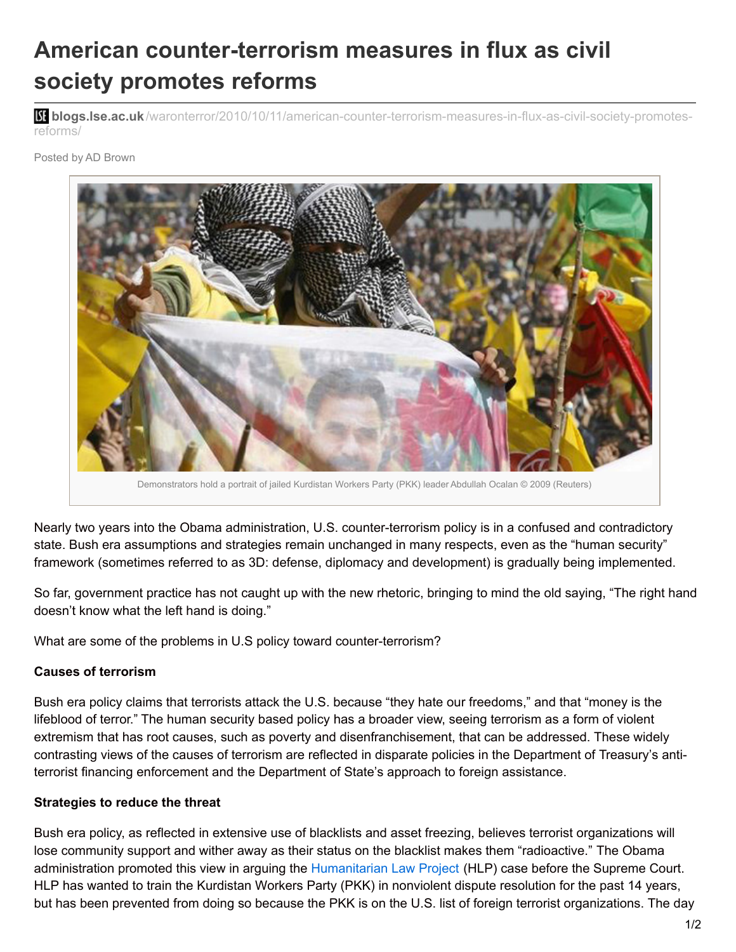# **American counter-terrorism measures in flux as civil society promotes reforms**

**blistic blogs.lse.ac.uk**[/waronterror/2010/10/11/american-counter-terrorism-measures-in-flux-as-civil-society-promotes](http://blogs.lse.ac.uk/waronterror/2010/10/11/american-counter-terrorism-measures-in-flux-as-civil-society-promotes-reforms/)reforms/

Posted by AD Brown



Nearly two years into the Obama administration, U.S. counter-terrorism policy is in a confused and contradictory state. Bush era assumptions and strategies remain unchanged in many respects, even as the "human security" framework (sometimes referred to as 3D: defense, diplomacy and development) is gradually being implemented.

So far, government practice has not caught up with the new rhetoric, bringing to mind the old saying, "The right hand doesn't know what the left hand is doing."

What are some of the problems in U.S policy toward counter-terrorism?

#### **Causes of terrorism**

Bush era policy claims that terrorists attack the U.S. because "they hate our freedoms," and that "money is the lifeblood of terror." The human security based policy has a broader view, seeing terrorism as a form of violent extremism that has root causes, such as poverty and disenfranchisement, that can be addressed. These widely contrasting views of the causes of terrorism are reflected in disparate policies in the Department of Treasury's antiterrorist financing enforcement and the Department of State's approach to foreign assistance.

#### **Strategies to reduce the threat**

Bush era policy, as reflected in extensive use of blacklists and asset freezing, believes terrorist organizations will lose community support and wither away as their status on the blacklist makes them "radioactive." The Obama administration promoted this view in arguing the [Humanitarian](http://en.wikipedia.org/wiki/Humanitarian_Law_Project) Law Project (HLP) case before the Supreme Court. HLP has wanted to train the Kurdistan Workers Party (PKK) in nonviolent dispute resolution for the past 14 years, but has been prevented from doing so because the PKK is on the U.S. list of foreign terrorist organizations. The day